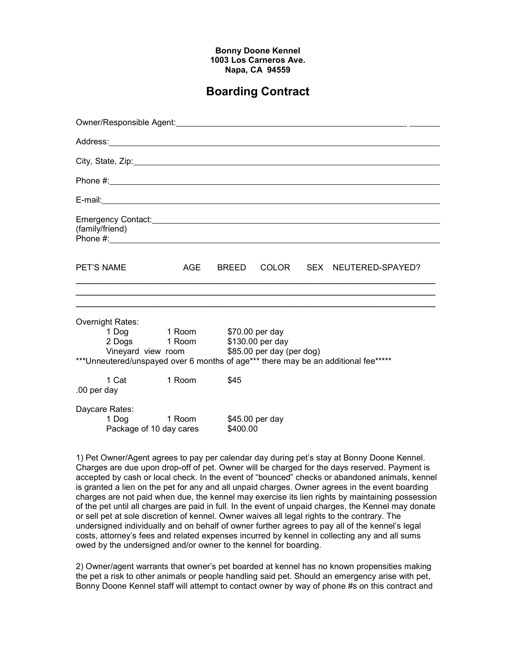## Bonny Doone Kennel 1003 Los Carneros Ave. Napa, CA 94559

## Boarding Contract

|                                                                                    | Phone $\#$ :                                                                                                                       |          |      |  |  |                                      |  |  |  |
|------------------------------------------------------------------------------------|------------------------------------------------------------------------------------------------------------------------------------|----------|------|--|--|--------------------------------------|--|--|--|
|                                                                                    |                                                                                                                                    |          |      |  |  |                                      |  |  |  |
| (family/friend)                                                                    | Emergency Contact: Call Contact: Contact: Contact: Contact: Contact: Contact: Contact: Contact: Contact: Conta                     |          |      |  |  |                                      |  |  |  |
| PET'S NAME                                                                         |                                                                                                                                    |          |      |  |  | AGE BREED COLOR SEX NEUTERED-SPAYED? |  |  |  |
|                                                                                    | Overnight Rates:<br>1 Dog 1 Room \$70.00 per day<br>2 Dogs 1 Room \$130.00 per day<br>Vineyard view room \$85.00 per day (per dog) |          |      |  |  |                                      |  |  |  |
| ***Unneutered/unspayed over 6 months of age*** there may be an additional fee***** |                                                                                                                                    |          |      |  |  |                                      |  |  |  |
| .00 per day                                                                        | 1 Cat                                                                                                                              | 1 Room   | \$45 |  |  |                                      |  |  |  |
| Daycare Rates:<br>1 Dog 1 Room \$45.00 per day<br>Package of 10 day cares          |                                                                                                                                    | \$400.00 |      |  |  |                                      |  |  |  |

1) Pet Owner/Agent agrees to pay per calendar day during pet's stay at Bonny Doone Kennel. Charges are due upon drop-off of pet. Owner will be charged for the days reserved. Payment is accepted by cash or local check. In the event of "bounced" checks or abandoned animals, kennel is granted a lien on the pet for any and all unpaid charges. Owner agrees in the event boarding charges are not paid when due, the kennel may exercise its lien rights by maintaining possession of the pet until all charges are paid in full. In the event of unpaid charges, the Kennel may donate or sell pet at sole discretion of kennel. Owner waives all legal rights to the contrary. The undersigned individually and on behalf of owner further agrees to pay all of the kennel's legal costs, attorney's fees and related expenses incurred by kennel in collecting any and all sums owed by the undersigned and/or owner to the kennel for boarding.

2) Owner/agent warrants that owner's pet boarded at kennel has no known propensities making the pet a risk to other animals or people handling said pet. Should an emergency arise with pet, Bonny Doone Kennel staff will attempt to contact owner by way of phone #s on this contract and